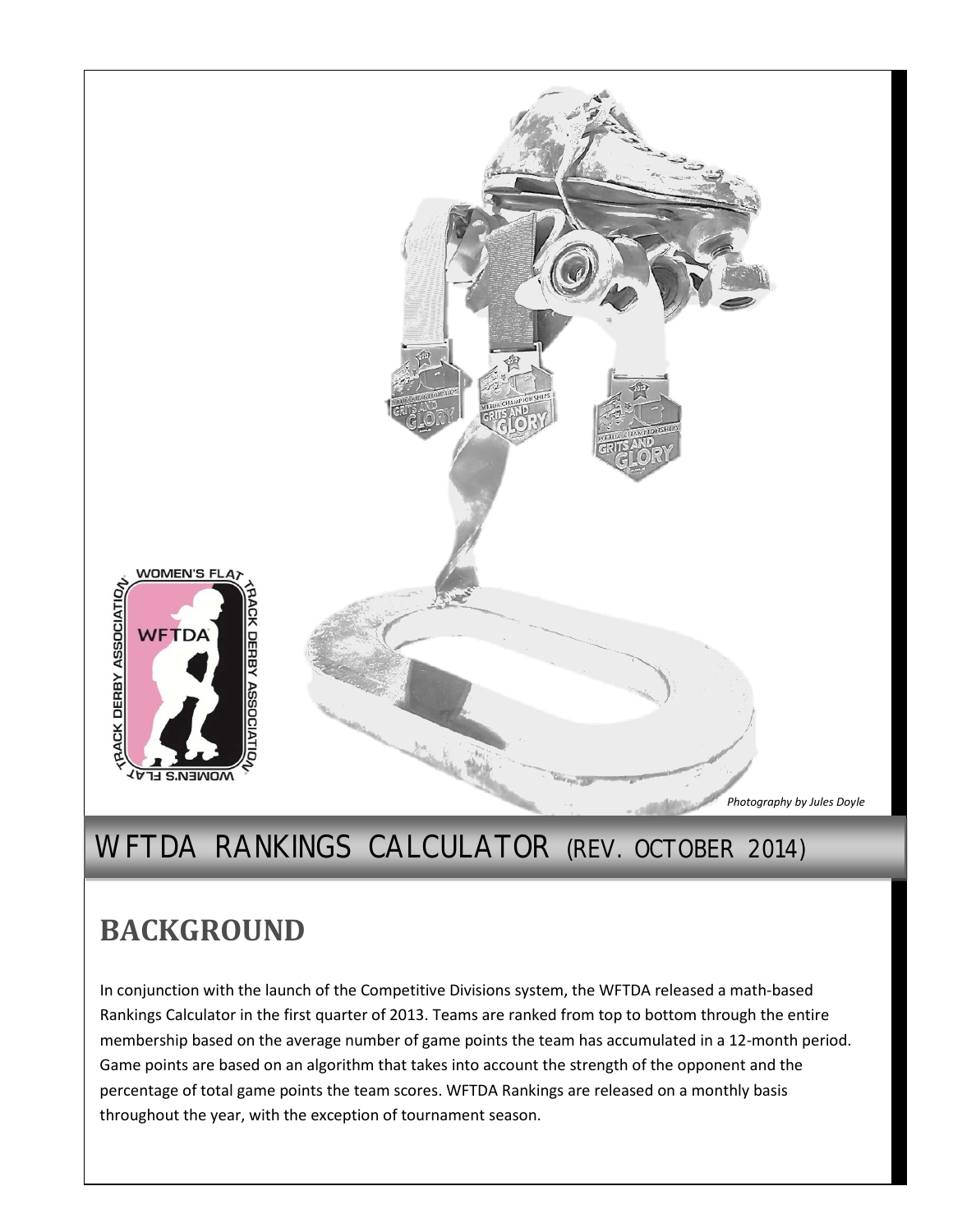

## WFTDA RANKINGS CALCULATOR (REV. OCTOBER 2014)

# **BACKGROUND**

In conjunction with the launch of the Competitive Divisions system, the WFTDA released a math-based Rankings Calculator in the first quarter of 2013. Teams are ranked from top to bottom through the entire membership based on the average number of game points the team has accumulated in a 12-month period. Game points are based on an algorithm that takes into account the strength of the opponent and the percentage of total game points the team scores. WFTDA Rankings are released on a monthly basis throughout the year, with the exception of tournament season.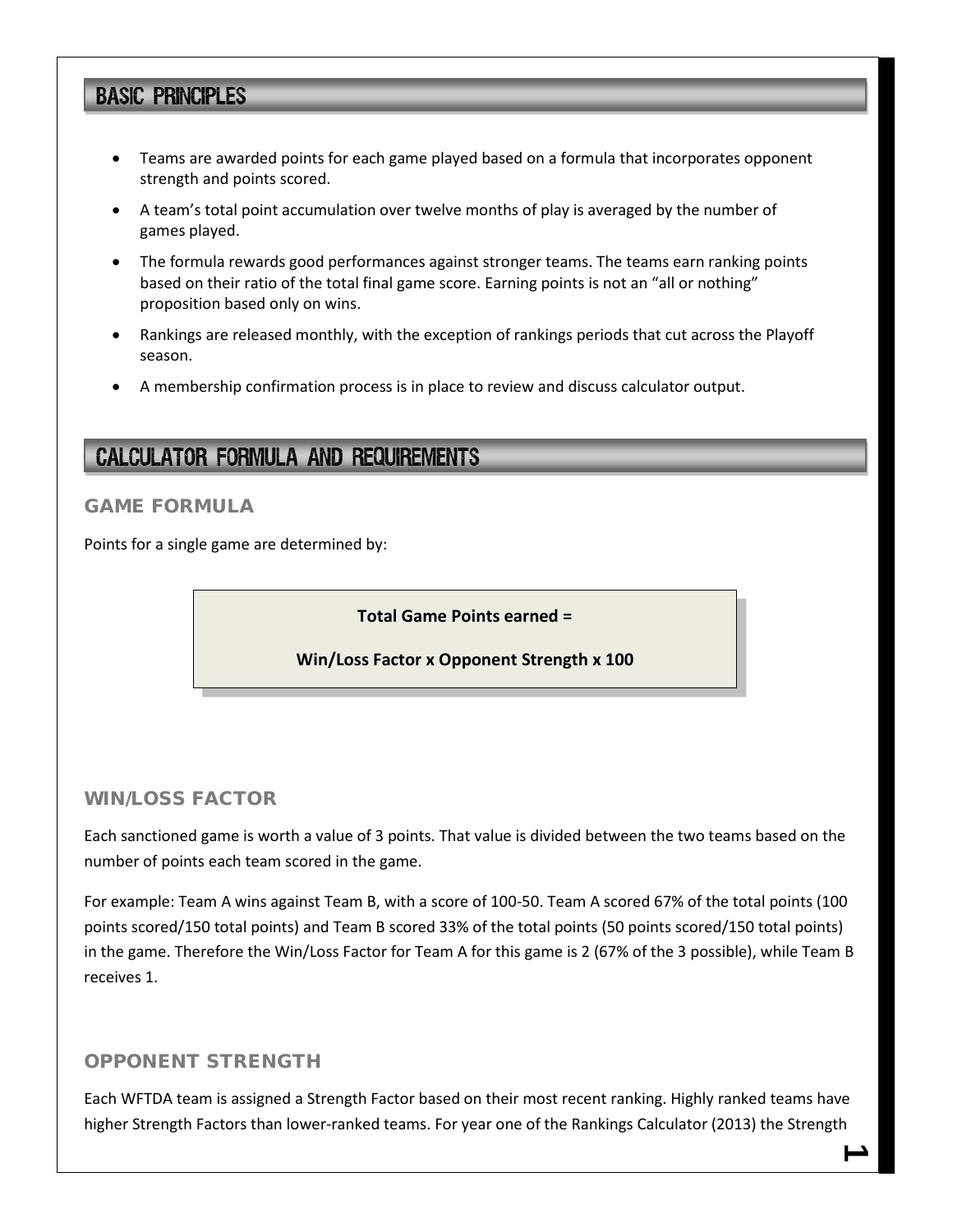## **BASIC PRINCIPLES**

- Teams are awarded points for each game played based on a formula that incorporates opponent strength and points scored.
- A team's total point accumulation over twelve months of play is averaged by the number of games played.
- The formula rewards good performances against stronger teams. The teams earn ranking points based on their ratio of the total final game score. Earning points is not an "all or nothing" proposition based only on wins.
- Rankings are released monthly, with the exception of rankings periods that cut across the Playoff season.
- A membership confirmation process is in place to review and discuss calculator output.

## **CALCULATOR FORMULA AND REQUIREMENTS**

### GAME FORMULA

Points for a single game are determined by:

#### **Total Game Points earned =**

#### **Win/Loss Factor x Opponent Strength x 100**

#### WIN/LOSS FACTOR

Each sanctioned game is worth a value of 3 points. That value is divided between the two teams based on the number of points each team scored in the game.

For example: Team A wins against Team B, with a score of 100-50. Team A scored 67% of the total points (100 points scored/150 total points) and Team B scored 33% of the total points (50 points scored/150 total points) in the game. Therefore the Win/Loss Factor for Team A for this game is 2 (67% of the 3 possible), while Team B receives 1.

#### OPPONENT STRENGTH

Each WFTDA team is assigned a Strength Factor based on their most recent ranking. Highly ranked teams have higher Strength Factors than lower-ranked teams. For year one of the Rankings Calculator (2013) the Strength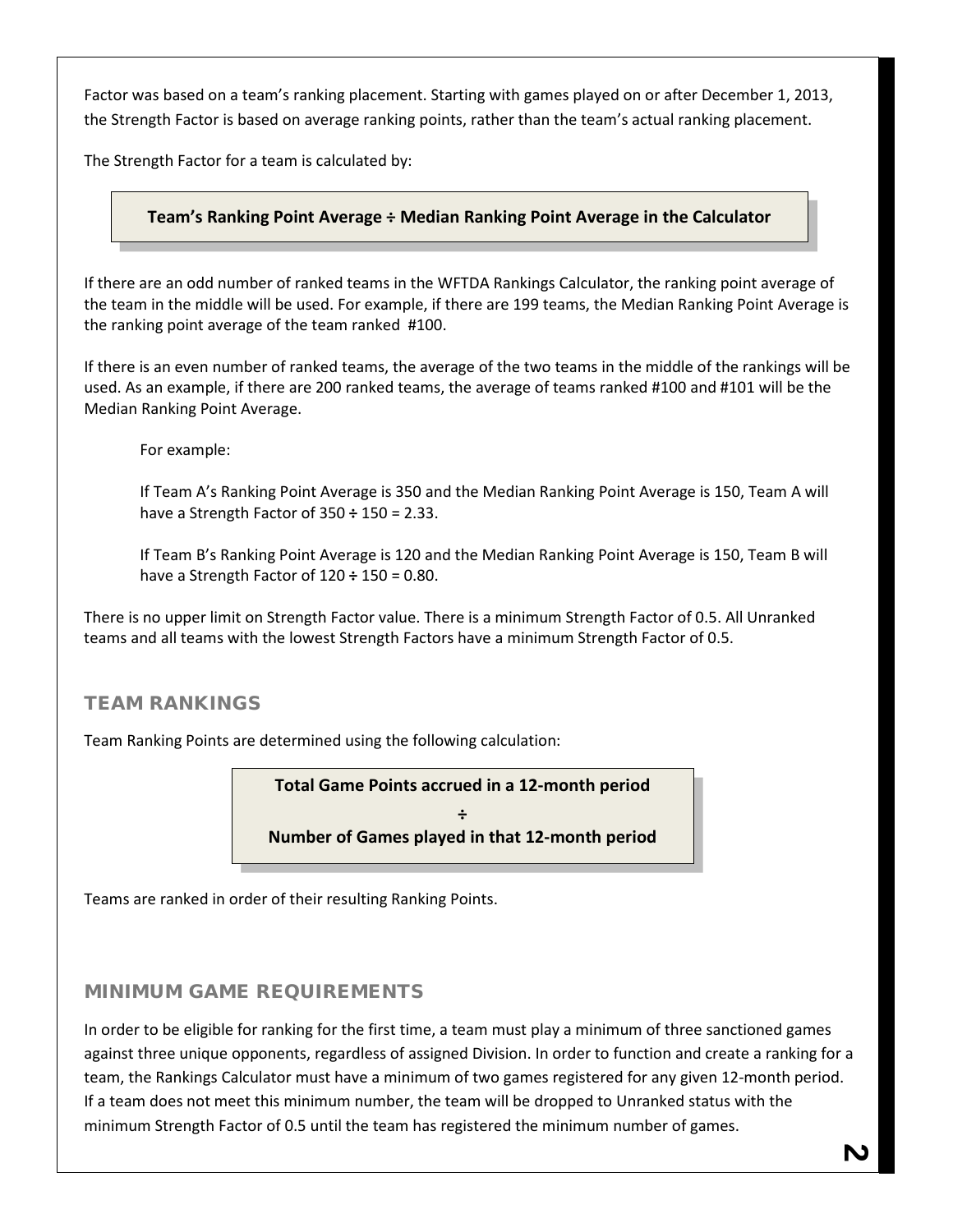Factor was based on a team's ranking placement. Starting with games played on or after December 1, 2013, the Strength Factor is based on average ranking points, rather than the team's actual ranking placement.

The Strength Factor for a team is calculated by:

### **Team's Ranking Point Average ÷ Median Ranking Point Average in the Calculator**

If there are an odd number of ranked teams in the WFTDA Rankings Calculator, the ranking point average of the team in the middle will be used. For example, if there are 199 teams, the Median Ranking Point Average is the ranking point average of the team ranked #100.

If there is an even number of ranked teams, the average of the two teams in the middle of the rankings will be used. As an example, if there are 200 ranked teams, the average of teams ranked #100 and #101 will be the Median Ranking Point Average.

For example:

If Team A's Ranking Point Average is 350 and the Median Ranking Point Average is 150, Team A will have a Strength Factor of 350 **÷** 150 = 2.33.

If Team B's Ranking Point Average is 120 and the Median Ranking Point Average is 150, Team B will have a Strength Factor of 120 **÷** 150 = 0.80.

There is no upper limit on Strength Factor value. There is a minimum Strength Factor of 0.5. All Unranked teams and all teams with the lowest Strength Factors have a minimum Strength Factor of 0.5.

#### TEAM RANKINGS

Team Ranking Points are determined using the following calculation:

**Total Game Points accrued in a 12-month period**

**÷ Number of Games played in that 12-month period**

Teams are ranked in order of their resulting Ranking Points.

#### MINIMUM GAME REQUIREMENTS

In order to be eligible for ranking for the first time, a team must play a minimum of three sanctioned games against three unique opponents, regardless of assigned Division. In order to function and create a ranking for a team, the Rankings Calculator must have a minimum of two games registered for any given 12-month period. If a team does not meet this minimum number, the team will be dropped to Unranked status with the minimum Strength Factor of 0.5 until the team has registered the minimum number of games.